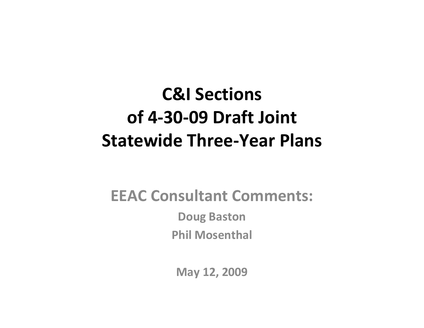### **C&I Sectionsof 4‐30‐09 Draft Joint Statewide Three‐Year Plans**

#### **EEAC Consultant Comments:**

**Doug Baston Phil Mosenthal**

**May 12, 2009**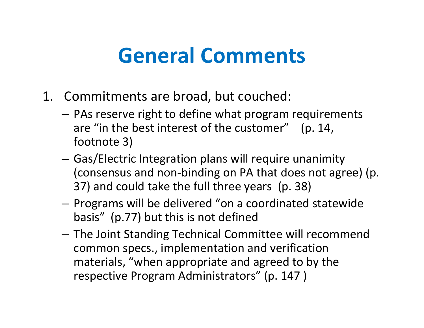### **General Comments**

- 1. Commitments are broad, but couched:
	- PAs reserve right to define what program requirements are "in the best interest of the customer" (p. 14, footnote 3)
	- – Gas/Electric Integration plans will require unanimity (consensus and non‐binding on PA that does not agree) (p. 37) and could take the full three years (p. 38)
	- – $-$  Programs will be delivered "on a coordinated statewide basis" (p.77) but this is not defined
	- The Joint Standing Technical Committee will recommend common specs., implementation and verification materials, "when appropriate and agreed to by the respective Program Administrators" (p. 147 )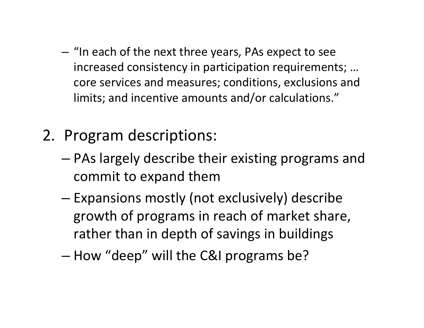- $-$  "In each of the next three years, PAs expect to see increased consistency in participation requirements; … core services and measures; conditions, exclusions and limits; and incentive amounts and/or calculations."
- 2. Program descriptions:
	- – PAs largely describe their existing programs and commit to expand them
	- – $-$  Expansions mostly (not exclusively) describe growth of programs in reach of market share, rather than in depth of savings in buildings
	- How "deep" will the C&I programs be?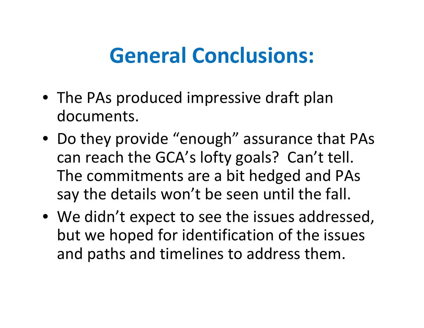## **General Conclusions:**

- The PAs produced impressive draft plan documents.
- Do they provide "enough" assurance that PAs can reach the GCA's lofty goals? Can't tell. The commitments are <sup>a</sup> bit hedged and PAs say the details won't be seen until the fall.
- We didn't expect to see the issues addressed, but we hoped for identification of the issues and paths and timelines to address them.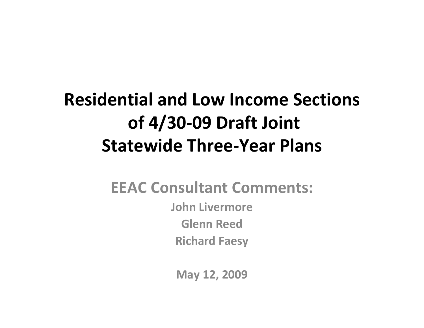### **Residential and Low Income Sections of 4/30‐09 Draft Joint Statewide Three‐Year Plans**

#### **EEAC Consultant Comments: John Livermore Glenn Reed Richard Faesy**

**May 12, 2009**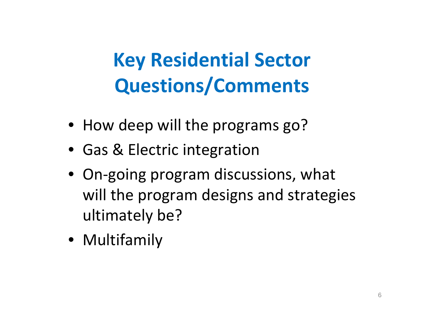# **Key Residential Sector Questions/Comments**

- How deep will the programs go?
- Gas & Electric integration
- On‐going program discussions, what will the program designs and strategies ultimately be?
- Multifamily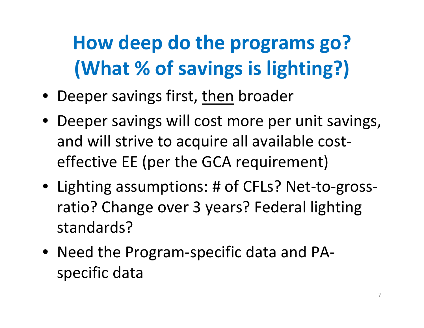# **How deep do the programs go? (What % of savings is lighting?)**

- Deeper savings first, then broader
- Deeper savings will cost more per unit savings, and will strive to acquire all available cost‐ effective EE (per the GCA requirement)
- Lighting assumptions: # of CFLs? Net‐to‐gross‐ ratio? Change over 3 years? Federal lighting standards?
- Need the Program‐specific data and PA‐ specific data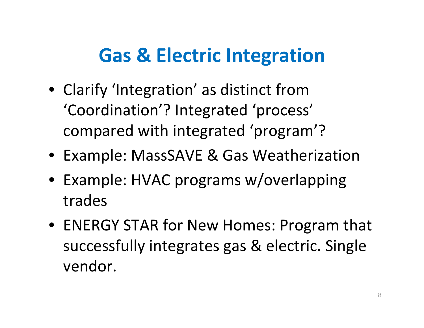### **Gas & Electric Integration**

- Clarify 'Integration' as distinct from 'Coordination'? Integrated 'process' compared with integrated 'program'?
- Example: MassSAVE & Gas Weatherization
- Example: HVAC programs w/overlapping trades
- ENERGY STAR for New Homes: Program that successfully integrates gas & electric. Single vendor.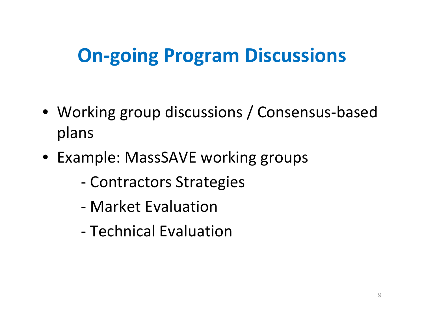### **On‐going Program Discussions**

- Working group discussions / Consensus‐based plans
- Example: MassSAVE working groups
	- ‐ Contractors Strategies
	- ‐ Market Evaluation
	- ‐ Technical Evaluation